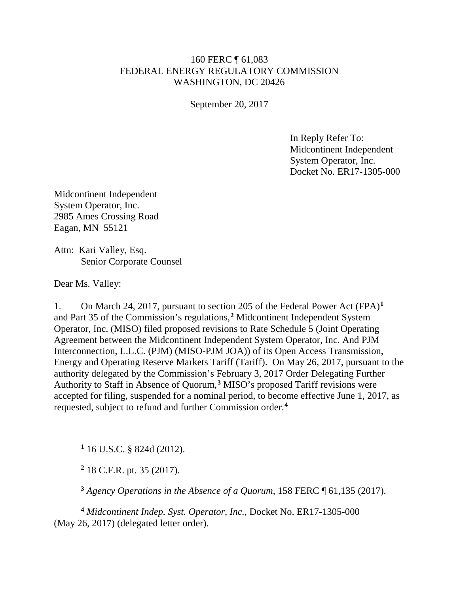## 160 FERC ¶ 61,083 FEDERAL ENERGY REGULATORY COMMISSION WASHINGTON, DC 20426

September 20, 2017

In Reply Refer To: Midcontinent Independent System Operator, Inc. Docket No. ER17-1305-000

Midcontinent Independent System Operator, Inc. 2985 Ames Crossing Road Eagan, MN 55121

Attn: Kari Valley, Esq. Senior Corporate Counsel

Dear Ms. Valley:

<span id="page-0-1"></span><span id="page-0-0"></span> $\overline{a}$ 

1. On March 24, 2017, pursuant to section 205 of the Federal Power Act (FPA)**[1](#page-0-0)** and Part 35 of the Commission's regulations,**[2](#page-0-1)** Midcontinent Independent System Operator, Inc. (MISO) filed proposed revisions to Rate Schedule 5 (Joint Operating Agreement between the Midcontinent Independent System Operator, Inc. And PJM Interconnection, L.L.C. (PJM) (MISO-PJM JOA)) of its Open Access Transmission, Energy and Operating Reserve Markets Tariff (Tariff). On May 26, 2017, pursuant to the authority delegated by the Commission's February 3, 2017 Order Delegating Further Authority to Staff in Absence of Quorum,**[3](#page-0-2)** MISO's proposed Tariff revisions were accepted for filing, suspended for a nominal period, to become effective June 1, 2017, as requested, subject to refund and further Commission order.**[4](#page-0-3)**

**<sup>1</sup>** 16 U.S.C. § 824d (2012).

**<sup>2</sup>** 18 C.F.R. pt. 35 (2017).

**<sup>3</sup>** *Agency Operations in the Absence of a Quorum*, 158 FERC ¶ 61,135 (2017).

<span id="page-0-3"></span><span id="page-0-2"></span>**<sup>4</sup>** *Midcontinent Indep. Syst. Operator, Inc.*, Docket No. ER17-1305-000 (May 26, 2017) (delegated letter order).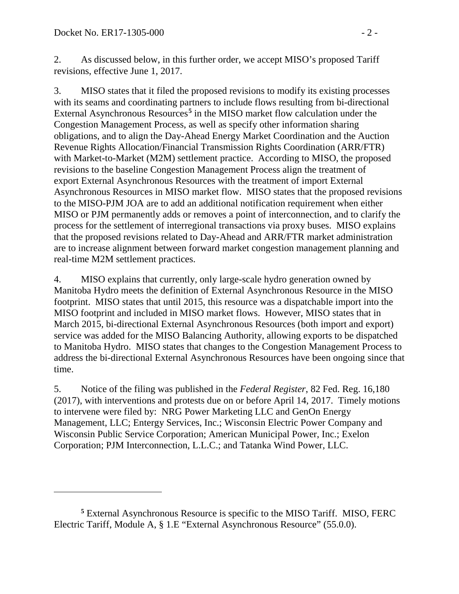$\overline{a}$ 

2. As discussed below, in this further order, we accept MISO's proposed Tariff revisions, effective June 1, 2017.

3. MISO states that it filed the proposed revisions to modify its existing processes with its seams and coordinating partners to include flows resulting from bi-directional External Asynchronous Resources**[5](#page-1-0)** in the MISO market flow calculation under the Congestion Management Process, as well as specify other information sharing obligations, and to align the Day-Ahead Energy Market Coordination and the Auction Revenue Rights Allocation/Financial Transmission Rights Coordination (ARR/FTR) with Market-to-Market (M2M) settlement practice. According to MISO, the proposed revisions to the baseline Congestion Management Process align the treatment of export External Asynchronous Resources with the treatment of import External Asynchronous Resources in MISO market flow. MISO states that the proposed revisions to the MISO-PJM JOA are to add an additional notification requirement when either MISO or PJM permanently adds or removes a point of interconnection, and to clarify the process for the settlement of interregional transactions via proxy buses. MISO explains that the proposed revisions related to Day-Ahead and ARR/FTR market administration are to increase alignment between forward market congestion management planning and real-time M2M settlement practices.

4. MISO explains that currently, only large-scale hydro generation owned by Manitoba Hydro meets the definition of External Asynchronous Resource in the MISO footprint. MISO states that until 2015, this resource was a dispatchable import into the MISO footprint and included in MISO market flows. However, MISO states that in March 2015, bi-directional External Asynchronous Resources (both import and export) service was added for the MISO Balancing Authority, allowing exports to be dispatched to Manitoba Hydro. MISO states that changes to the Congestion Management Process to address the bi-directional External Asynchronous Resources have been ongoing since that time.

5. Notice of the filing was published in the *Federal Register*, 82 Fed. Reg. 16,180 (2017), with interventions and protests due on or before April 14, 2017. Timely motions to intervene were filed by: NRG Power Marketing LLC and GenOn Energy Management, LLC; Entergy Services, Inc.; Wisconsin Electric Power Company and Wisconsin Public Service Corporation; American Municipal Power, Inc.; Exelon Corporation; PJM Interconnection, L.L.C.; and Tatanka Wind Power, LLC.

<span id="page-1-0"></span>**<sup>5</sup>** External Asynchronous Resource is specific to the MISO Tariff. MISO, FERC Electric Tariff, Module A, § 1.E "External Asynchronous Resource" (55.0.0).